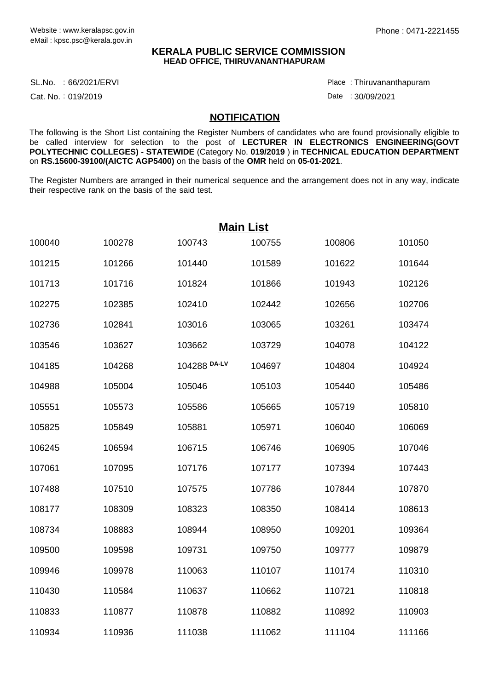## **KERALA PUBLIC SERVICE COMMISSION HEAD OFFICE, THIRUVANANTHAPURAM**

SL.No. :66/2021/ERVI Place Product and the set of the set of the set of the set of the set of the set of the s

Cat. No.: 019/2019

Thiruvananthapuram :

Date: 30/09/2021

## **NOTIFICATION**

The following is the Short List containing the Register Numbers of candidates who are found provisionally eligible to be called interview for selection to the post of **LECTURER IN ELECTRONICS ENGINEERING(GOVT POLYTECHNIC COLLEGES)** - **STATEWIDE** (Category No. **019/2019** ) in **TECHNICAL EDUCATION DEPARTMENT** on **RS.15600-39100/(AICTC AGP5400)** on the basis of the **OMR** held on **05-01-2021**.

The Register Numbers are arranged in their numerical sequence and the arrangement does not in any way, indicate their respective rank on the basis of the said test.

| <b>Main List</b> |        |              |        |        |        |  |  |  |
|------------------|--------|--------------|--------|--------|--------|--|--|--|
| 100040           | 100278 | 100743       | 100755 | 100806 | 101050 |  |  |  |
| 101215           | 101266 | 101440       | 101589 | 101622 | 101644 |  |  |  |
| 101713           | 101716 | 101824       | 101866 | 101943 | 102126 |  |  |  |
| 102275           | 102385 | 102410       | 102442 | 102656 | 102706 |  |  |  |
| 102736           | 102841 | 103016       | 103065 | 103261 | 103474 |  |  |  |
| 103546           | 103627 | 103662       | 103729 | 104078 | 104122 |  |  |  |
| 104185           | 104268 | 104288 DA-LV | 104697 | 104804 | 104924 |  |  |  |
| 104988           | 105004 | 105046       | 105103 | 105440 | 105486 |  |  |  |
| 105551           | 105573 | 105586       | 105665 | 105719 | 105810 |  |  |  |
| 105825           | 105849 | 105881       | 105971 | 106040 | 106069 |  |  |  |
| 106245           | 106594 | 106715       | 106746 | 106905 | 107046 |  |  |  |
| 107061           | 107095 | 107176       | 107177 | 107394 | 107443 |  |  |  |
| 107488           | 107510 | 107575       | 107786 | 107844 | 107870 |  |  |  |
| 108177           | 108309 | 108323       | 108350 | 108414 | 108613 |  |  |  |
| 108734           | 108883 | 108944       | 108950 | 109201 | 109364 |  |  |  |
| 109500           | 109598 | 109731       | 109750 | 109777 | 109879 |  |  |  |
| 109946           | 109978 | 110063       | 110107 | 110174 | 110310 |  |  |  |
| 110430           | 110584 | 110637       | 110662 | 110721 | 110818 |  |  |  |
| 110833           | 110877 | 110878       | 110882 | 110892 | 110903 |  |  |  |
| 110934           | 110936 | 111038       | 111062 | 111104 | 111166 |  |  |  |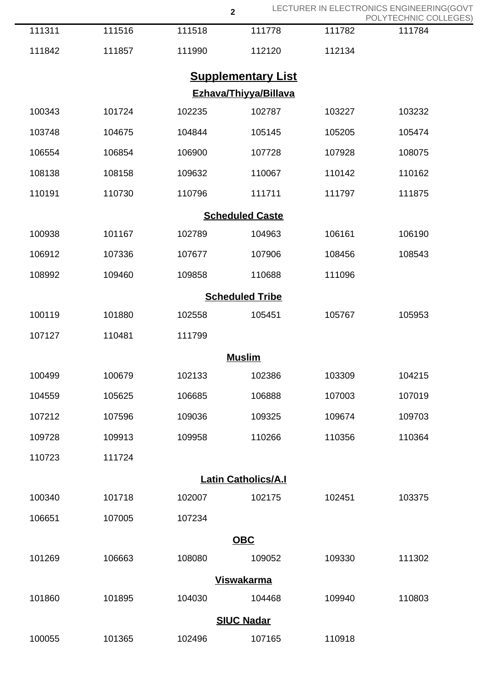|                        |        |        | $\overline{\mathbf{2}}$    |        | LECTURER IN ELECTRONICS ENGINEERING(GOVT<br>POLYTECHNIC COLLEGES) |  |  |  |
|------------------------|--------|--------|----------------------------|--------|-------------------------------------------------------------------|--|--|--|
| 111311                 | 111516 | 111518 | 111778                     | 111782 | 111784                                                            |  |  |  |
| 111842                 | 111857 | 111990 | 112120                     | 112134 |                                                                   |  |  |  |
|                        |        |        | <b>Supplementary List</b>  |        |                                                                   |  |  |  |
| Ezhava/Thiyya/Billava  |        |        |                            |        |                                                                   |  |  |  |
| 100343                 | 101724 | 102235 | 102787                     | 103227 | 103232                                                            |  |  |  |
| 103748                 | 104675 | 104844 | 105145                     | 105205 | 105474                                                            |  |  |  |
| 106554                 | 106854 | 106900 | 107728                     | 107928 | 108075                                                            |  |  |  |
| 108138                 | 108158 | 109632 | 110067                     | 110142 | 110162                                                            |  |  |  |
| 110191                 | 110730 | 110796 | 111711                     | 111797 | 111875                                                            |  |  |  |
| <b>Scheduled Caste</b> |        |        |                            |        |                                                                   |  |  |  |
| 100938                 | 101167 | 102789 | 104963                     | 106161 | 106190                                                            |  |  |  |
| 106912                 | 107336 | 107677 | 107906                     | 108456 | 108543                                                            |  |  |  |
| 108992                 | 109460 | 109858 | 110688                     | 111096 |                                                                   |  |  |  |
| <b>Scheduled Tribe</b> |        |        |                            |        |                                                                   |  |  |  |
| 100119                 | 101880 | 102558 | 105451                     | 105767 | 105953                                                            |  |  |  |
| 107127                 | 110481 | 111799 |                            |        |                                                                   |  |  |  |
|                        |        |        | <b>Muslim</b>              |        |                                                                   |  |  |  |
| 100499                 | 100679 | 102133 | 102386                     | 103309 | 104215                                                            |  |  |  |
| 104559                 | 105625 | 106685 | 106888                     | 107003 | 107019                                                            |  |  |  |
| 107212                 | 107596 | 109036 | 109325                     | 109674 | 109703                                                            |  |  |  |
| 109728                 | 109913 | 109958 | 110266                     | 110356 | 110364                                                            |  |  |  |
| 110723                 | 111724 |        |                            |        |                                                                   |  |  |  |
|                        |        |        | <b>Latin Catholics/A.I</b> |        |                                                                   |  |  |  |
| 100340                 | 101718 | 102007 | 102175                     | 102451 | 103375                                                            |  |  |  |
| 106651                 | 107005 | 107234 |                            |        |                                                                   |  |  |  |
|                        |        |        | <b>OBC</b>                 |        |                                                                   |  |  |  |
| 101269                 | 106663 | 108080 | 109052                     | 109330 | 111302                                                            |  |  |  |
| <b>Viswakarma</b>      |        |        |                            |        |                                                                   |  |  |  |
| 101860                 | 101895 | 104030 | 104468                     | 109940 | 110803                                                            |  |  |  |
| <b>SIUC Nadar</b>      |        |        |                            |        |                                                                   |  |  |  |
| 100055                 | 101365 | 102496 | 107165                     | 110918 |                                                                   |  |  |  |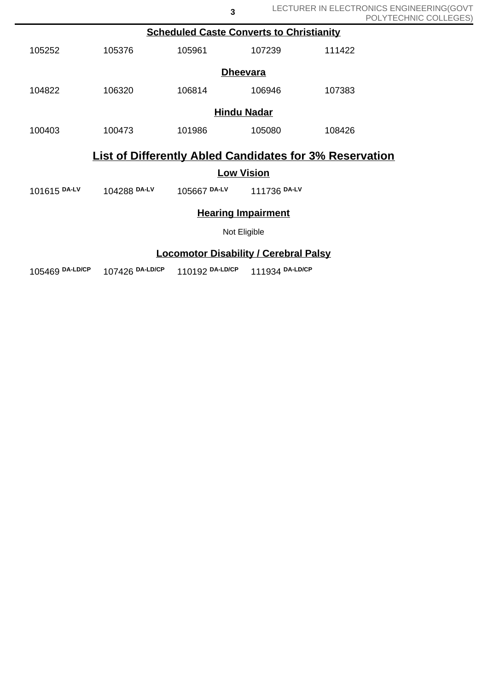| <b>Scheduled Caste Converts to Christianity</b>                |              |                           |        |        |  |  |  |  |
|----------------------------------------------------------------|--------------|---------------------------|--------|--------|--|--|--|--|
| 105252                                                         | 105376       | 105961                    | 107239 | 111422 |  |  |  |  |
| <b>Dheevara</b>                                                |              |                           |        |        |  |  |  |  |
| 104822                                                         | 106320       | 106814                    | 106946 | 107383 |  |  |  |  |
| <b>Hindu Nadar</b>                                             |              |                           |        |        |  |  |  |  |
| 100403                                                         | 100473       | 101986                    | 105080 | 108426 |  |  |  |  |
| <b>List of Differently Abled Candidates for 3% Reservation</b> |              |                           |        |        |  |  |  |  |
| <b>Low Vision</b>                                              |              |                           |        |        |  |  |  |  |
| 101615 DA-LV                                                   | 104288 DA-LV | 105667 DA-LV 111736 DA-LV |        |        |  |  |  |  |
| <b>Hearing Impairment</b>                                      |              |                           |        |        |  |  |  |  |
| Not Eligible                                                   |              |                           |        |        |  |  |  |  |
| <b>Locomotor Disability / Cerebral Palsy</b>                   |              |                           |        |        |  |  |  |  |

**3**

105469 **DA-LD/CP** 107426 **DA-LD/CP** 110192 **DA-LD/CP** 111934 **DA-LD/CP**